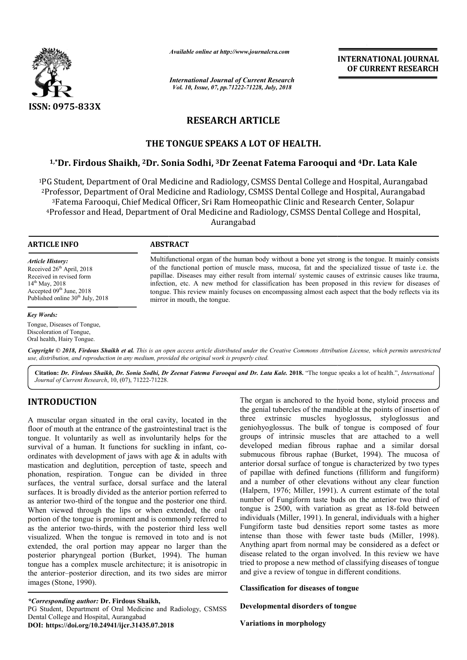

*Available online at http://www.journalcra.com*

*International Journal of Current Research Vol. 10, Issue, 07, pp.71222-71228, July, 2018*

**INTERNATIONAL JOURNAL OF CURRENT RESEARCH**

# **RESEARCH ARTICLE**

## **THE TONGUE SPEAKS A LOT OF HEALTH.**

## <sup>1,</sup>\*Dr. Firdous Shaikh, <sup>2</sup>Dr. Sonia Sodhi, <sup>3</sup>Dr Zeenat Fatema Farooqui and <sup>4</sup>Dr. Lata Kale

<sup>1</sup>PG Student, Department of Oral Medicine and Radiology, CSMSS Dental College and Hospital, Aurangabad 2Professor, Department of Oral Medicine and Radiology, CSMSS Dental College and Hospital, Aurangabad 3Fatema Farooqui, Chief Medical Officer, Sri Ram Homeopathic Clinic and Research Center, Solapur 4Professor and Head, Department of Oral Medicine and Radiology, CSMSS Dental College and Hospital, Professor, Department of Oral Medicine and Radiology, C.<br><sup>3</sup>Fatema Farooqui, Chief Medical Officer, Sri Ram Home<br><sup>4</sup>Professor and Head, Department of Oral Medicine and R<br>Aurangabad | Medicine and Radiology, CSMSS Dental College and Hospital, Aurangabad<br>Medicine and Radiology, CSMSS Dental College and Hospital, Aurangabad<br>lical Officer, Sri Ram Homeopathic Clinic and Research Center, Solapur Radiology, CSMSS

#### **ARTICLE INFO ABSTRACT**

*Article History:* Received 26<sup>th</sup> April, 2018 Received in revised form 14th May, 2018 Accepted 09<sup>th</sup> June, 2018 Published online 30<sup>th</sup> July, 2018

#### Multifunctional organ of the human body without a bone yet strong is the tongue. It mainly consists of the functional portion of muscle mass, mucosa, fat and the specialized tissue of taste i.e. the papillae. Diseases may either result from internal/ systemic causes of extrinsic causes like trauma, infection, etc. A new method for classification has been proposed in this review for diseases of tongue. This review mainly focuses on encompassing almost each aspect that the body reflects via its mirror in mouth, the tongue. Multifunctional organ of the human body without a bone yet strong is the tongue. It mainly consists of the functional portion of muscle mass, mucosa, fat and the specialized tissue of taste i.e. the papillae. Diseases may

#### *Key Words:*

Tongue, Diseases of Tongue, Discoloration of Tongue, Oral health, Hairy Tongue.

Copyright © 2018, Firdous Shaikh et al. This is an open access article distributed under the Creative Commons Attribution License, which permits unrestrictea *use, distribution, and reproduction in any medium, provided the original work is properly cited.*

Citation: Dr. Firdous Shaikh, Dr. Sonia Sodhi, Dr Zeenat Fatema Farooqui and Dr. Lata Kale. 2018. "The tongue speaks a lot of health.", *International Journal of Current Research*, 10, (07), 71222-71228.

## **INTRODUCTION**

A muscular organ situated in the oral cavity, located in the floor of mouth at the entrance of the gastrointestinal tract is the tongue. It voluntarily as well as involuntarily helps for the survival of a human. It functions for suckling in infant, coordinates with development of jaws with age & in adults with mastication and deglutition, perception of taste, speech and phonation, respiration. Tongue can be divided in three surfaces, the ventral surface, dorsal surface and the lateral surfaces. It is broadly divided as the anterior portion referred to as anterior two-third of the tongue and the posterior one third. When viewed through the lips or when extended, the oral portion of the tongue is prominent and is commonly referred to as the anterior two-thirds, with the posterior third less well visualized. When the tongue is removed in toto and is not extended, the oral portion may appear no larger than the posterior pharyngeal portion (Burket, 1994). The human tongue has a complex muscle architecture; it is anisotropic in the anterior–posterior direction, and its two sides are mirror images (Stone, 1990). nates with development of jaws with age  $\&$  in adults with<br>tication and deglutition, perception of taste, speech and<br>nation, respiration. Tongue can be divided in three<br>aces, the ventral surface, dorsal surface and the l

*\*Corresponding author:* **Dr. Firdous Shaikh,**  PG Student, Department of Oral Medicine and Radiology, CSMSS Dental College and Hospital, Aurangabad **DOI: https://doi.org/10.24941/ijcr.31435.07.2018**

The organ is anchored to the hyoid bone, styloid process and<br>the grain the grain thoreses of the manible at the presence of the stems in the stems in the state of the manible at the proton of four<br>sustricution of interacti the genial tubercles of the mandible at the points of insertion of three extrinsic muscles hyoglossus, styloglossus and geniohyoglossus. The bulk of tongue is composed groups of intrinsic muscles that are attached to a well developed median fibrous raphae and a similar dorsal submucous fibrous raphae (Burket, 1994). The mucosa of anterior dorsal surface of tongue is characterized by two types of papillae with defined functions (filliform and fungiform) and a number of other elevations without any clear function (Halpern, 1976; Miller, 1991). A current estimate of the total number of Fungiform taste buds on the anterior two third of number of Fungiform taste buds on the anterior two third of tongue is 2500, with variation as great as 18-fold between individuals (Miller, 1991). In general, individuals with a higher Fungiform taste bud densities report some tastes as more intense than those with fewer taste buds (Miller, 1998). Anything apart from normal may be considered as a defect or disease related to the organ involved. In this review we have disease related to the organ involved. In this review we have tried to propose a new method of classifying diseases of tongue and give a review of tongue in different conditions. The organ is anchored to the hyoid bone, styloid process and<br>the genial tubercles of the mandible at the points of insertion of<br>three extrinsic muscles hyoglossus, styloglossus and<br>geniohyoglossus. The bulk of tongue is co are attached to a well<br>raphae and a similar dorsal<br>Burket, 1994). The mucosa of of tongue is characterized by two types<br>ed functions (filliform and fungiform)<br>clevations without any clear function<br>, 1991). A current estimate of the total **EXERCIST SET ASSEMBLEM SET AND SET AND SET AND THE CONDUCT THE CHANGE THE CHANGE CONDUCT THE CHANGE CONDUCT THE CHANGE THE CHANGE THE CHANGE DRIVIT CONDUCT THE CHANGE DRIVIT CONDUCT AND CONDUCT AND CONDUCT CONDUCT CONDUCT** 

**Classification for diseases of tongue**

**Developmental disorders of tongue**

**Variations in morphology**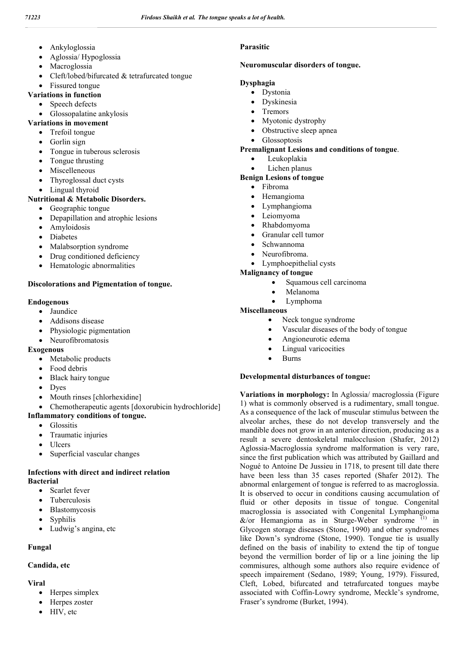- Ankyloglossia
- Aglossia/ Hypoglossia
- Macroglossia
- Cleft/lobed/bifurcated & tetrafurcated tongue
- Fissured tongue
- **Variations in function**
	- Speech defects
		- Glossopalatine ankylosis
- **Variations in movement**
	- Trefoil tongue
	- Gorlin sign
	- Tongue in tuberous sclerosis
	- Tongue thrusting
	- Miscelleneous
	- Thyroglossal duct cysts
	- Lingual thyroid

## **Nutritional & Metabolic Disorders.**

- Geographic tongue
- Depapillation and atrophic lesions
- Amyloidosis
- Diabetes
- Malabsorption syndrome
- Drug conditioned deficiency
- Hematologic abnormalities

## **Discolorations and Pigmentation of tongue.**

## **Endogenous**

- Jaundice
- Addisons disease
- Physiologic pigmentation
- Neurofibromatosis

## **Exogenous**

- Metabolic products
- Food debris
- Black hairy tongue
- Dyes
- Mouth rinses [chlorhexidine]
- Chemotherapeutic agents [doxorubicin hydrochloride]

## **Inflammatory conditions of tongue.**

- Glossitis
- Traumatic injuries
- Ulcers
- Superficial vascular changes

## **Infections with direct and indirect relation Bacterial**

- Scarlet fever
- Tuberculosis
- Blastomycosis
- Syphilis
- Ludwig's angina, etc

# **Fungal**

# **Candida, etc**

# **Viral**

- Herpes simplex
- Herpes zoster
- HIV, etc

## **Parasitic**

## **Neuromuscular disorders of tongue.**

## **Dysphagia**

- Dystonia
	- Dyskinesia
	- Tremors
	- Myotonic dystrophy
	- Obstructive sleep apnea
- Glossoptosis

## **Premalignant Lesions and conditions of tongue**.

- Leukoplakia
- Lichen planus

## **Benign Lesions of tongue**

- Fibroma
- Hemangioma
- Lymphangioma
- Leiomyoma
- Rhabdomyoma
- Granular cell tumor
- Schwannoma
- Neurofibroma.
- Lymphoepithelial cysts

## **Malignancy of tongue**

- Squamous cell carcinoma
- Melanoma
- Lymphoma

## **Miscellaneous**

- Neck tongue syndrome
- Vascular diseases of the body of tongue
- Angioneurotic edema
- Lingual varicocities
- Burns

## **Developmental disturbances of tongue:**

**Variations in morphology:** In Aglossia/ macroglossia (Figure 1) what is commonly observed is a rudimentary, small tongue. As a consequence of the lack of muscular stimulus between the alveolar arches, these do not develop transversely and the mandible does not grow in an anterior direction, producing as a result a severe dentoskeletal malocclusion (Shafer, 2012) Aglossia-Macroglossia syndrome malformation is very rare, since the first publication which was attributed by Gaillard and Nogué to Antoine De Jussieu in 1718, to present till date there have been less than 35 cases reported (Shafer 2012). The abnormal enlargement of tongue is referred to as macroglossia. It is observed to occur in conditions causing accumulation of fluid or other deposits in tissue of tongue. Congenital macroglossia is associated with Congenital Lymphangioma  $&\&\lor$  Hemangioma as in Sturge-Weber syndrome<sup>(1)</sup> in Glycogen storage diseases (Stone, 1990) and other syndromes like Down's syndrome (Stone, 1990). Tongue tie is usually defined on the basis of inability to extend the tip of tongue beyond the vermillion border of lip or a line joining the lip commisures, although some authors also require evidence of speech impairement (Sedano, 1989; Young, 1979). Fissured, Cleft, Lobed, bifurcated and tetrafurcated tongues maybe associated with Coffin-Lowry syndrome, Meckle's syndrome, Fraser's syndrome (Burket, 1994).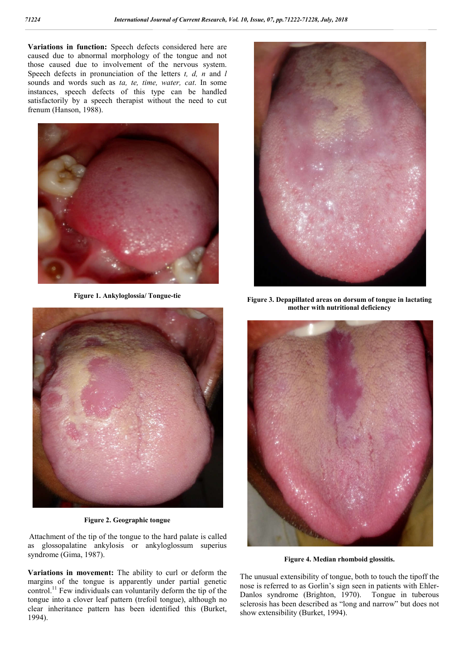**Variations in function:** Speech defects considered here are caused due to abnormal morphology of the tongue and not those caused due to involvement of the nervous system. Speech defects in pronunciation of the letters *t, d, n* and *l* sounds and words such as *ta, te, time, water, cat*. In some instances, speech defects of this type can be handled satisfactorily by a speech therapist without the need to cut frenum (Hanson, 1988).



**Figure 1. Ankyloglossia/ Tongue-tie**



**Figure 3. Depapillated areas on dorsum of tongue in lactating mother with nutritional deficiency**



**Figure 2. Geographic tongue**

Attachment of the tip of the tongue to the hard palate is called as glossopalatine ankylosis or ankyloglossum superius syndrome (Gima, 1987).

**Variations in movement:** The ability to curl or deform the margins of the tongue is apparently under partial genetic control.<sup>11</sup> Few individuals can voluntarily deform the tip of the tongue into a clover leaf pattern (trefoil tongue), although no clear inheritance pattern has been identified this (Burket, 1994).



**Figure 4. Median rhomboid glossitis.**

The unusual extensibility of tongue, both to touch the tipoff the nose is referred to as Gorlin's sign seen in patients with Ehler-Danlos syndrome (Brighton, 1970). Tongue in tuberous sclerosis has been described as "long and narrow" but does not show extensibility (Burket, 1994).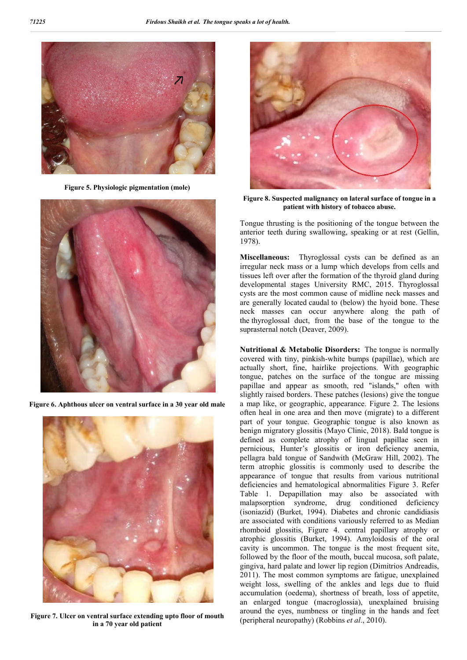

**Figure 5. Physiologic pigmentation (mole)**



**Figure 6. Aphthous ulcer on ventral surface in a 30 year old male**



**Figure 7. Ulcer on ventral surface extending upto floor of mouth in a 70 year old patient**



**Figure 8. Suspected malignancy on lateral surface of tongue in a patient with history of tobacco abuse.**

Tongue thrusting is the positioning of the tongue between the anterior teeth during swallowing, speaking or at rest (Gellin, 1978).

**Miscellaneous:** Thyroglossal cysts can be defined as an irregular neck mass or a lump which develops from cells and tissues left over after the formation of the thyroid gland during developmental stages University RMC, 2015. Thyroglossal cysts are the most common cause of midline neck masses and are generally located caudal to (below) the hyoid bone. These neck masses can occur anywhere along the path of the thyroglossal duct, from the base of the tongue to the suprasternal notch (Deaver, 2009).

**Nutritional & Metabolic Disorders:** The tongue is normally covered with tiny, pinkish-white bumps (papillae), which are actually short, fine, hairlike projections. With geographic tongue, patches on the surface of the tongue are missing papillae and appear as smooth, red "islands," often with slightly raised borders. These patches (lesions) give the tongue a map like, or geographic, appearance. Figure 2. The lesions often heal in one area and then move (migrate) to a different part of your tongue. Geographic tongue is also known as benign migratory glossitis (Mayo Clinic, 2018). Bald tongue is defined as complete atrophy of lingual papillae seen in pernicious, Hunter's glossitis or iron deficiency anemia, pellagra bald tongue of Sandwith (McGraw Hill, 2002). The term atrophic glossitis is commonly used to describe the appearance of tongue that results from various nutritional deficiencies and hematological abnormalities Figure 3. Refer Table 1. Depapillation may also be associated with malapsorption syndrome, drug conditioned deficiency (isoniazid) (Burket, 1994). Diabetes and chronic candidiasis are associated with conditions variously referred to as Median rhomboid glossitis, Figure 4. central papillary atrophy or atrophic glossitis (Burket, 1994). Amyloidosis of the oral cavity is uncommon. The tongue is the most frequent site, followed by the floor of the mouth, buccal mucosa, soft palate, gingiva, hard palate and lower lip region (Dimitrios Andreadis, 2011). The most common symptoms are fatigue, unexplained weight loss, swelling of the ankles and legs due to fluid accumulation (oedema), shortness of breath, loss of appetite, an enlarged tongue (macroglossia), unexplained bruising around the eyes, numbness or tingling in the hands and feet (peripheral neuropathy) (Robbins *et al*., 2010).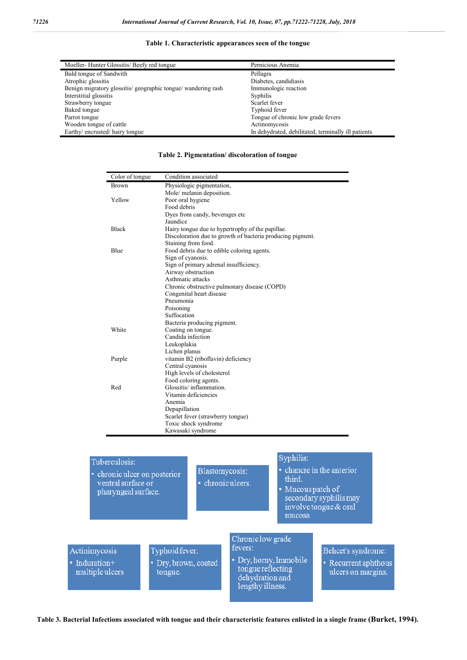### **Table 1. Characteristic appearances seen of the tongue**

| Moeller-Hunter Glossitis/Beefy red tongue                   | Pernicious Anemia                                   |
|-------------------------------------------------------------|-----------------------------------------------------|
| Bald tongue of Sandwith                                     | Pellagra                                            |
| Atrophic glossitis                                          | Diabetes, candidiasis                               |
| Benign migratory glossitis/geographic tongue/wandering rash | Immunologic reaction                                |
| Interstitial glossitis                                      | Syphilis                                            |
| Strawberry tongue                                           | Scarlet fever                                       |
| Baked tongue                                                | Typhoid fever                                       |
| Parrot tongue                                               | Tongue of chronic low grade fevers                  |
| Wooden tongue of cattle                                     | Actinomycosis                                       |
| Earthy/ encrusted/ hairy tongue                             | In dehydrated, debilitated, terminally ill patients |

| Color of tongue                                                             | Condition associated                                                     |                   |                        |                         |
|-----------------------------------------------------------------------------|--------------------------------------------------------------------------|-------------------|------------------------|-------------------------|
| <b>Brown</b>                                                                | Physiologic pigmentation,                                                |                   |                        |                         |
|                                                                             | Mole/ melanin deposition.                                                |                   |                        |                         |
| Yellow                                                                      | Poor oral hygiene                                                        |                   |                        |                         |
|                                                                             | Food debris                                                              |                   |                        |                         |
|                                                                             | Dyes from candy, beverages etc                                           |                   |                        |                         |
|                                                                             | Jaundice                                                                 |                   |                        |                         |
| <b>Black</b>                                                                | Hairy tongue due to hypertrophy of the papillae.                         |                   |                        |                         |
|                                                                             | Discoloration due to growth of bacteria producing pigment.               |                   |                        |                         |
|                                                                             | Staining from food.                                                      |                   |                        |                         |
| Blue                                                                        | Food debris due to edible coloring agents.                               |                   |                        |                         |
|                                                                             | Sign of cyanosis.                                                        |                   |                        |                         |
|                                                                             | Sign of primary adrenal insufficiency.                                   |                   |                        |                         |
|                                                                             | Airway obstruction                                                       |                   |                        |                         |
| Asthmatic attacks                                                           |                                                                          |                   |                        |                         |
|                                                                             | Chronic obstructive pulmonary disease (COPD)<br>Congenital heart disease |                   |                        |                         |
|                                                                             |                                                                          |                   |                        |                         |
|                                                                             | Pneumonia                                                                |                   |                        |                         |
|                                                                             | Poisoning                                                                |                   |                        |                         |
|                                                                             | Suffocation                                                              |                   |                        |                         |
|                                                                             | Bacteria producing pigment.                                              |                   |                        |                         |
| White                                                                       | Coating on tongue.                                                       |                   |                        |                         |
|                                                                             | Candida infection                                                        |                   |                        |                         |
|                                                                             | Leukoplakia                                                              |                   |                        |                         |
|                                                                             | Lichen planus                                                            |                   |                        |                         |
| Purple                                                                      | vitamin B2 (riboflavin) deficiency                                       |                   |                        |                         |
|                                                                             | Central cyanosis                                                         |                   |                        |                         |
|                                                                             | High levels of cholesterol                                               |                   |                        |                         |
|                                                                             | Food coloring agents.                                                    |                   |                        |                         |
| Red                                                                         | Glossitis/inflammation.                                                  |                   |                        |                         |
|                                                                             | Vitamin deficiencies                                                     |                   |                        |                         |
|                                                                             | Anemia                                                                   |                   |                        |                         |
|                                                                             | Depapillation                                                            |                   |                        |                         |
|                                                                             | Scarlet fever (strawberry tongue)                                        |                   |                        |                         |
|                                                                             | Toxic shock syndrome<br>Kawasaki syndrome                                |                   |                        |                         |
|                                                                             |                                                                          |                   |                        |                         |
|                                                                             |                                                                          |                   |                        |                         |
|                                                                             |                                                                          |                   |                        |                         |
| Tuberculosis:                                                               |                                                                          |                   | Syphilis:              |                         |
|                                                                             |                                                                          |                   |                        |                         |
| • chancre in the anterior<br>Blastomycosis:<br>• chronic ulcer on posterior |                                                                          |                   |                        |                         |
| ventral surface or                                                          |                                                                          | · chronic ulcers. | third.                 |                         |
| pharyngeal surface.                                                         |                                                                          |                   | • Mucous patch of      |                         |
|                                                                             |                                                                          |                   |                        | secondary syphilis may  |
|                                                                             |                                                                          |                   |                        | involve tongue $&$ oral |
|                                                                             |                                                                          |                   |                        |                         |
|                                                                             |                                                                          |                   | mucosa                 |                         |
|                                                                             |                                                                          |                   |                        |                         |
|                                                                             |                                                                          |                   |                        |                         |
|                                                                             |                                                                          | Chronic low grade |                        |                         |
| Actinimycosis                                                               | Typhoid fever:                                                           | fevers:           |                        | Behcet's syndrome:      |
|                                                                             |                                                                          |                   | • Dry, horny, Immobile |                         |
| • Induration+                                                               | · Dry, brown, coated                                                     | tongue reflecting |                        | • Recurrent aphthous    |
| multipleulcers                                                              | tongue.                                                                  |                   |                        | ulcers on margins.      |

dehydration and lengthy illness.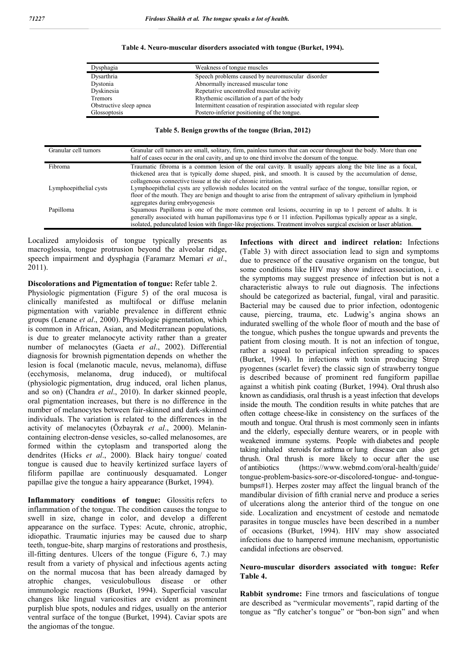| Dysphagia               | Weakness of tongue muscles                                          |
|-------------------------|---------------------------------------------------------------------|
| Dysarthria              | Speech problems caused by neuromuscular disorder                    |
| Dystonia                | Abnormally increased muscular tone                                  |
| Dyskinesia              | Repetative uncontrolled muscular activity                           |
| Tremors                 | Rhythemic oscillation of a part of the body                         |
| Obstructive sleep apnea | Intermittent ceasation of respiration associated with regular sleep |
| Glossoptosis            | Postero-inferior positioning of the tongue.                         |

#### **Table 4. Neuro-muscular disorders associated with tongue (Burket, 1994).**

#### **Table 5. Benign growths of the tongue (Brian, 2012)**

| Granular cell tumors   | Granular cell tumors are small, solitary, firm, painless tumors that can occur throughout the body. More than one<br>half of cases occur in the oral cavity, and up to one third involve the dorsum of the tongue.                                                                                                                                 |
|------------------------|----------------------------------------------------------------------------------------------------------------------------------------------------------------------------------------------------------------------------------------------------------------------------------------------------------------------------------------------------|
| Fibroma                | Traumatic fibroma is a common lesion of the oral cavity. It usually appears along the bite line as a focal,<br>thickened area that is typically dome shaped, pink, and smooth. It is caused by the accumulation of dense,<br>collagenous connective tissue at the site of chronic irritation.                                                      |
| Lymphoepithelial cysts | Lymphoepithelial cysts are yellowish nodules located on the ventral surface of the tongue, tonsillar region, or<br>floor of the mouth. They are benign and thought to arise from the entrapment of salivary epithelium in lymphoid<br>aggregates during embryogenesis                                                                              |
| Papilloma              | Squamous Papilloma is one of the more common oral lesions, occurring in up to 1 percent of adults. It is<br>generally associated with human papillomavirus type 6 or 11 infection. Papillomas typically appear as a single,<br>isolated, pedunculated lesion with finger-like projections. Treatment involves surgical excision or laser ablation. |

Localized amyloidosis of tongue typically presents as macroglossia, tongue protrusion beyond the alveolar ridge, speech impairment and dysphagia (Faramarz Memari *et al*., 2011).

**Discolorations and Pigmentation of tongue:** Refer table 2.

Physiologic pigmentation (Figure 5) of the oral mucosa is clinically manifested as multifocal or diffuse melanin pigmentation with variable prevalence in different ethnic groups (Lenane *et al*., 2000). Physiologic pigmentation, which is common in African, Asian, and Mediterranean populations, is due to greater melanocyte activity rather than a greater number of melanocytes (Gaeta *et al*., 2002). Differential diagnosis for brownish pigmentation depends on whether the lesion is focal (melanotic macule, nevus, melanoma), diffuse (ecchymosis, melanoma, drug induced), or multifocal (physiologic pigmentation, drug induced, oral lichen planus, and so on) (Chandra *et al*., 2010). In darker skinned people, oral pigmentation increases, but there is no difference in the number of melanocytes between fair-skinned and dark-skinned individuals. The variation is related to the differences in the activity of melanocytes (Özbayrak *et al*., 2000). Melanincontaining electron-dense vesicles, so-called melanosomes, are formed within the cytoplasm and transported along the dendrites (Hicks *et al*., 2000). Black hairy tongue/ coated tongue is caused due to heavily kertinized surface layers of filiform papillae are continuously desquamated. Longer papillae give the tongue a hairy appearance (Burket, 1994).

**Inflammatory conditions of tongue:** Glossitis refers to inflammation of the tongue. The condition causes the tongue to swell in size, change in color, and develop a different appearance on the surface. Types: Acute, chronic, atrophic, idiopathic. Traumatic injuries may be caused due to sharp teeth, tongue-bite, sharp margins of restorations and prosthesis, ill-fitting dentures. Ulcers of the tongue (Figure 6, 7.) may result from a variety of physical and infectious agents acting on the normal mucosa that has been already damaged by atrophic changes, vesiculobullous disease or other immunologic reactions (Burket, 1994). Superficial vascular changes like lingual varicosities are evident as prominent purplish blue spots, nodules and ridges, usually on the anterior ventral surface of the tongue (Burket, 1994). Caviar spots are the angiomas of the tongue.

**Infections with direct and indirect relation:** Infections (Table 3) with direct association lead to sign and symptoms due to presence of the causative organism on the tongue, but some conditions like HIV may show indirect association, i. e the symptoms may suggest presence of infection but is not a characteristic always to rule out diagnosis. The infections should be categorized as bacterial, fungal, viral and parasitic. Bacterial may be caused due to prior infection, odontogenic cause, piercing, trauma, etc. Ludwig's angina shows an indurated swelling of the whole floor of mouth and the base of the tongue, which pushes the tongue upwards and prevents the patient from closing mouth. It is not an infection of tongue, rather a squeal to periapical infection spreading to spaces (Burket, 1994). In infections with toxin producing Strep pyogennes (scarlet fever) the classic sign of strawberry tongue is described because of prominent red fungiform papillae against a whitish pink coating (Burket, 1994). Oral thrush also known as candidiasis, oral thrush is a yeast infection that develops inside the mouth. The condition results in white patches that are often cottage cheese-like in consistency on the surfaces of the mouth and tongue. Oral thrush is most commonly seen in infants and the elderly, especially denture wearers, or in people with weakened immune systems. People with diabetes and people taking inhaled steroids for asthma or lung disease can also get thrush. Oral thrush is more likely to occur after the use of antibiotics (https://www.webmd.com/oral-health/guide/ tongue-problem-basics-sore-or-discolored-tongue- and-tonguebumps#1). Herpes zoster may affect the lingual branch of the mandibular division of fifth cranial nerve and produce a series of ulcerations along the anterior third of the tongue on one side. Localization and encystment of cestode and nematode parasites in tongue muscles have been described in a number of occasions (Burket, 1994). HIV may show associated infections due to hampered immune mechanism, opportunistic candidal infections are observed.

#### **Neuro-muscular disorders associated with tongue: Refer Table 4.**

**Rabbit syndrome:** Fine trmors and fasciculations of tongue are described as "vermicular movements", rapid darting of the tongue as "fly catcher's tongue" or "bon-bon sign" and when